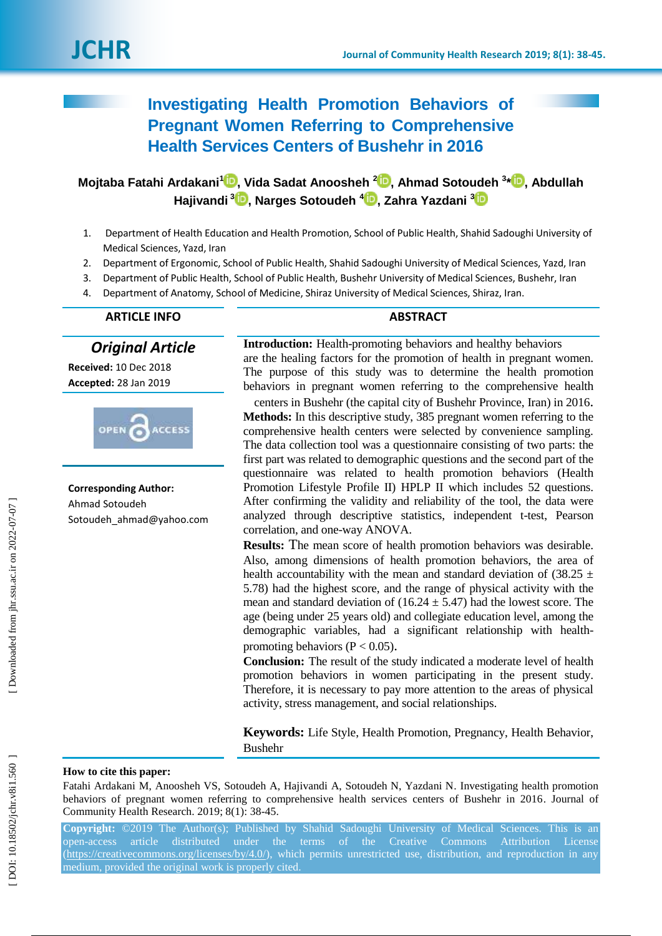# **Investigating Health Promotion Behaviors of Pregnant Women Referring to Comprehensive Health Services Centers of Bushehr in 2016**

**Mojtaba Fatahi Ardakani [1](https://orcid.org/0000-0001-9989-171x) , Vida Sadat Anoosheh 2 [,](https://orcid.org/0000-0001-8568-7355) Ahmad Sotoudeh 3 \* [,](https://orcid.org/0000-0001-9010-4628) Abdullah Hajivandi [3](https://orcid.org/0000-0003-4864-1029) , Narges Sotoudeh [4](https://orcid.org/0000-0003-3504-8322) , Zahra Yazdani 3**

- 1. Department of Health Education and Health Promotion, School of Public Health, Shahid Sadoughi University of Medical Sciences, Yazd, Iran
- 2. Department of Ergonomic, School of Public Health, Shahid Sadoughi University of Medical Sciences, Yazd, Iran
- 3. Department of Public Health, School of Public Health, Bushehr University of Medical Sciences, Bushehr, Iran
- 4. Department of Anatomy, School of Medicine, Shiraz University of Medical Sciences, Shiraz, Iran.

# **ARTICLE INFO ABSTRACT**

*Original Article*

**Received:** 10 Dec 2018 **Accepted:** 28 Jan 201 9



**Corresponding Author:** Ahmad Sotoudeh Sotoudeh ahmad@yahoo.com

**Introduction :** Health -promoting behaviors and healthy behaviors are the healing factors for the promotion of health in pregnant women. The purpose of this study was to determine the health promotion behaviors in pregnant women referring to the comprehensive health

centers in Bushehr (the capital city of Bushehr Province, Iran ) in 2016 . **Methods:** In this descriptive study, 385 pregnant women referring to the comprehensive health centers were selected by convenience sampling. The data collection tool was a questionnaire consisting of two parts: the first part was related to demographic questions and the second part of the questionnaire was related to health promotion behaviors (Health Promotion Lifestyle Profile II) HPLP II which includes 52 questions. After confirming the validity and reliability of the tool, the data were analyzed through descriptive statistics, independent t -test, Pearson correlation, and one -way ANOVA.

**Results:** The mean score of health promotion behaviors was desirable. Also, among dimensions of health promotion behaviors, the area of health accountability with the mean and standard deviation of  $(38.25 \pm$ 5.78) had the highest score, and the range of physical activity with the mean and standard deviation of  $(16.24 \pm 5.47)$  had the lowest score. The age (being under 25 years old) and collegiate education level, among the demographic variables, had a significant relationship with health promoting behaviors ( $P < 0.05$ ).

**Conclusion :** The result of the study indicated a moderate level of health promotion behaviors in women participating in the present study. Therefore, it is necessary to pay more attention to the areas of physical activity, stress management, and social relationships.

**Keywords:** Life Style, Health Promotion, Pregnancy, Health Behavior, Bushehr

# **How to cite this paper:**

Fatahi Ardakani M, Anoosheh VS, Sotoudeh A, Hajivandi A, Sotoudeh N, Yazdani N. Investigating health promotion behaviors of pregnant women referring to comprehensive health services centers of Bushehr in 2016. Journal of Community Health Research. 2019; 8(1): 38-45.

**Copyright:** ©2019 The Author(s); Published by Shahid Sadoughi University of Medical Sciences. This is an open -access article distributed under the terms of the Creative Commons Attribution License [\(https://creativecommons.org/licenses/by/4.0/\)](https://creativecommons.org/licenses/by/4.0/), which permits unrestricted use, distribution, and reproduction in any medium, provided the original work is properly cited.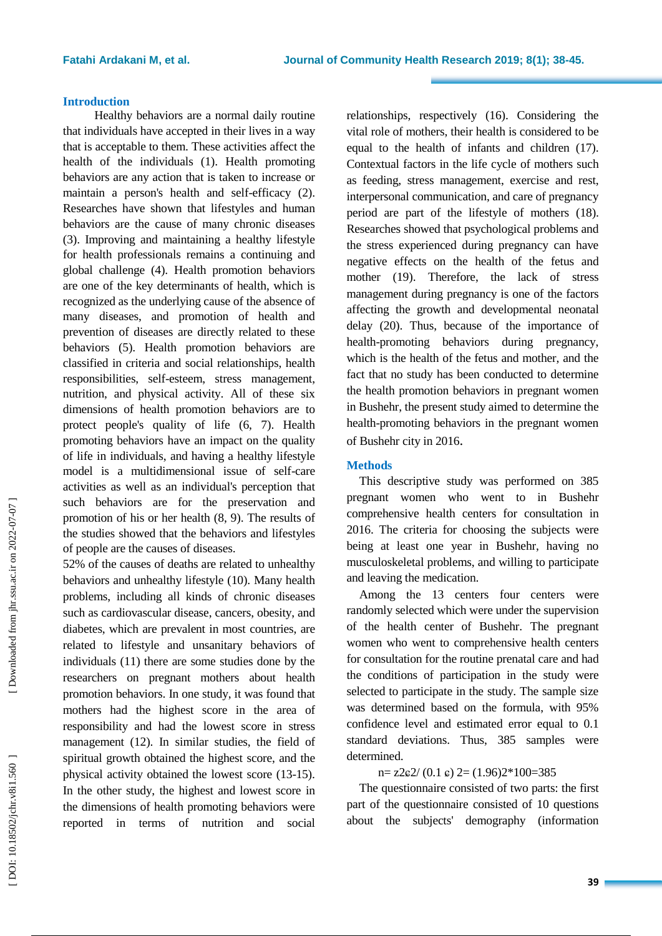### **Introduction**

Healthy behaviors are a normal daily routine that individuals have accepted in their lives in a way that is acceptable to them. These activities affect the health of the individuals (1). Health promoting behaviors are any action that is taken to increase or maintain a person's health and self-efficacy (2). Researches have shown that lifestyles and human behaviors are the cause of many chronic diseases (3). Improving and maintaining a healthy lifestyle for health professionals remains a continuing and global challenge (4). Health promotion behaviors are one of the key determinants of health, which is recognized as the underlying cause of the absence of many diseases, and promotion of health and prevention of diseases are directly related to these behaviors (5). Health promotion behaviors are classified in criteria and social relationships, health responsibilities, self-esteem, stress management, nutrition, and physical activity. All of these six dimensions of health promotion behaviors are to protect people's quality of life (6, 7). Health promoting behaviors have an impact on the quality of life in individuals, and having a healthy lifestyle model is a multidimensional issue of self-care activities as well as an individual's perception that such behaviors are for the preservation and promotion of his or her health (8, 9). The results of the studies showed that the behaviors and lifestyles of people are the causes of diseases.

52% of the causes of deaths are related to unhealthy behaviors and unhealthy lifestyle (10). Many health problems, including all kinds of chronic diseases such as cardiovascular disease, cancers, obesity, and diabetes, which are prevalent in most countries, are related to lifestyle and unsanitary behaviors of individuals (11) there are some studies done by the researchers on pregnant mothers about health promotion behaviors. In one study, it was found that mothers had the highest score in the area of responsibility and had the lowest score in stress management (12). In similar studies, the field of spiritual growth obtained the highest score, and the physical activity obtained the lowest score (13 -15). In the other study, the highest and lowest score in the dimensions of health promoting behaviors were reported in terms of nutrition and social

relationships, respectively (16). Considering the vital role of mothers, their health is considered to be equal to the health of infants and children (17). Contextual factors in the life cycle of mothers such as feeding, stress management, exercise and rest, interpersonal communication, and care of pregnancy period are part of the lifestyle of mothers (18). Researches showed that psychological problems and the stress experienced during pregnancy can have negative effects on the health of the fetus and mother (19). Therefore, the lack of stress management during pregnancy is one of the factors affecting the growth and developmental neonatal delay (20). Thus, because of the importance of health -promoting behaviors during pregnancy, which is the health of the fetus and mother, and the fact that no study has been conducted to determine the health promotion behaviors in pregnant women in Bushehr, the present study aimed to determine the health -promoting behaviors in the pregnant women of Bushehr city in 2016 .

# **Methods**

This descriptive study was performed on 385 pregnant women who went to in Bushehr comprehensive health centers for consultation in 2016. The criteria for choosing the subjects were being at least one year in Bushehr, having no musculoskeletal problems, and willing to participate and leaving the medication.

Among the 13 centers four centers were randomly selected which were under the supervision of the health center of Bushehr. The pregnant women who went to comprehensive health centers for consultation for the routine prenatal care and had the conditions of participation in the study were selected to participate in the study. The sample size was determined based on the formula, with 95% confidence level and estimated error equal to 0.1 standard deviations. Thus, 385 samples were determined.

# $n=$  z2 $\epsilon$ 2/ (0.1  $\epsilon$ ) 2= (1.96)2\*100=385

The questionnaire consisted of two parts: the first part of the questionnaire consisted of 10 questions about the subjects' demography (information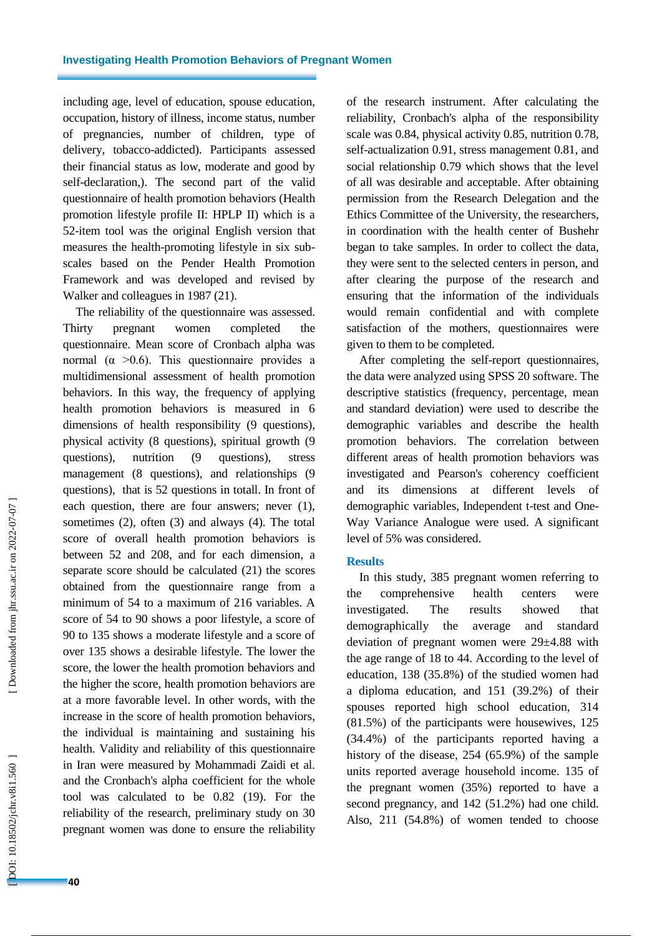including age, level of education, spouse education, occupation, history of illness, income status, number of pregnancies, number of children, type of delivery, tobacco -addicted). Participants assessed their financial status as low, moderate and good by self-declaration,). The second part of the valid questionnaire of health promotion behaviors (Health promotion lifestyle profile II: HPLP II) which is a 52 -item tool was the original English version that measures the health -promoting lifestyle in six sub scales based on the Pender Health Promotion Framework and was developed and revised by Walker and colleagues in 1987 (21).

The reliability of the questionnaire was assessed. Thirty pregnant women completed the questionnaire. Mean score of Cronbach alpha was normal ( $\alpha > 0.6$ ). This questionnaire provides a multidimensional assessment of health promotion behaviors. In this way, the frequency of applying health promotion behaviors is measured in 6 dimensions of health responsibility (9 questions), physical activity (8 questions), spiritual growth (9 questions), nutrition (9 questions), stress management (8 questions), and relationships (9 questions), that is 52 questions in totall. In front of each question, there are four answers; never (1), sometimes (2), often (3) and always (4). The total score of overall health promotion behaviors is between 52 and 208, and for each dimension, a separate score should be calculated (21) the scores obtained from the questionnaire range from a minimum of 54 to a maximum of 216 variables. A score of 54 to 90 shows a poor lifestyle, a score of 90 to 135 shows a moderate lifestyle and a score of over 135 shows a desirable lifestyle. The lower the score, the lower the health promotion behaviors and the higher the score, health promotion behaviors are at a more favorable level. In other words, with the increase in the score of health promotion behaviors, the individual is maintaining and sustaining his health. Validity and reliability of this questionnaire in Iran were measured by Mohammadi Zaidi et al. and the Cronbach's alpha coefficient for the whole tool was calculated to be 0.82 (19). For the reliability of the research, preliminary study on 30 pregnant women was done to ensure the reliability of the research instrument. After calculating the reliability, Cronbach's alpha of the responsibility scale was 0.84, physical activity 0.85, nutrition 0.78, self-actualization 0.91, stress management 0.81, and social relationship 0.79 which shows that the level of all was desirable and acceptable. After obtaining permission from the Research Delegation and the Ethics Committee of the University, the researchers, in coordination with the health center of Bushehr began to take samples. In order to collect the data, they were sent to the selected centers in person, and after clearing the purpose of the research and ensuring that the information of the individuals would remain confidential and with complete satisfaction of the mothers, questionnaires were given to them to be completed.

After completing the self-report questionnaires, the data were analyzed using SPSS 20 software. The descriptive statistics (frequency, percentage, mean and standard deviation) were used to describe the demographic variables and describe the health promotion behaviors. The correlation between different areas of health promotion behaviors was investigated and Pearson's coherency coefficient and its dimensions at different levels demographic variables, Independent t -test and One - Way Variance Analogue were used. A significant level of 5% was considered.

#### **Results**

In this study, 385 pregnant women referring to the comprehensive health centers were investigated. The results showed that demographically the average and standard deviation of pregnant women were 29±4.88 with the age range of 18 to 44. According to the level of education, 138 (35.8%) of the studied women had a diploma education, and 151 (39.2%) of their spouses reported high school education, 314 (81.5%) of the participants were housewives, 125 (34.4%) of the participants reported having a history of the disease, 254 (65.9%) of the sample units reported average household income. 135 of the pregnant women (35%) reported to have a second pregnancy, and 142 (51.2%) had one child. Also, 211 (54.8%) of women tended to choose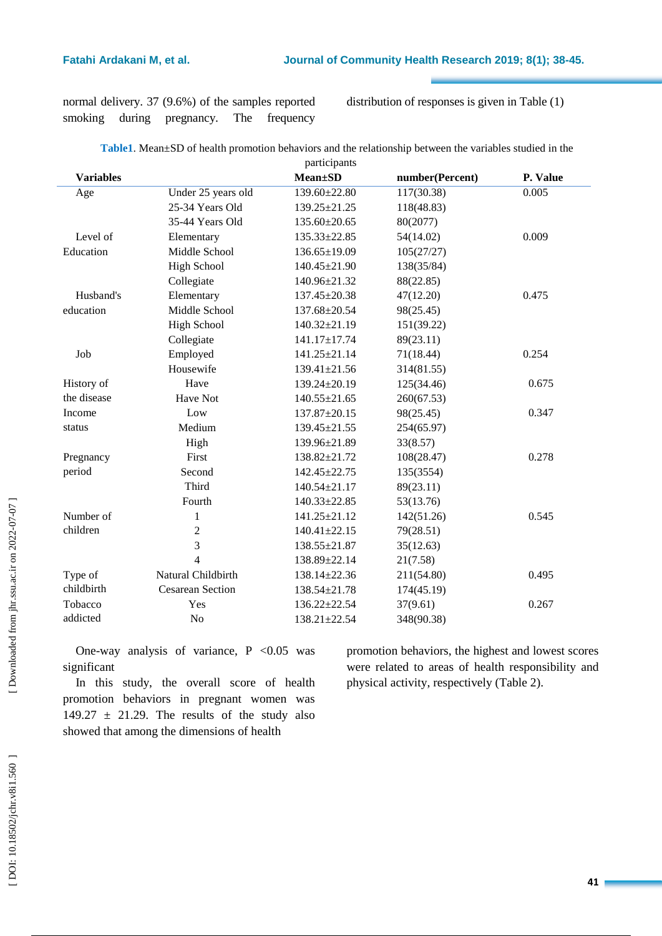normal delivery. 37 (9.6%) of the samples reported smoking during pregnancy. The frequency

distribution of responses is given in Table (1)

| Table1. Mean±SD of health promotion behaviors and the relationship between the variables studied in the |  |  |  |  |
|---------------------------------------------------------------------------------------------------------|--|--|--|--|
| narticinante                                                                                            |  |  |  |  |

|                  |                         | participants       |                 |          |
|------------------|-------------------------|--------------------|-----------------|----------|
| <b>Variables</b> |                         | <b>Mean</b> ±SD    | number(Percent) | P. Value |
| Age              | Under 25 years old      | 139.60±22.80       | 117(30.38)      | 0.005    |
|                  | 25-34 Years Old         | $139.25 \pm 21.25$ | 118(48.83)      |          |
|                  | 35-44 Years Old         | 135.60±20.65       | 80(2077)        |          |
| Level of         | Elementary              | $135.33 \pm 22.85$ | 54(14.02)       | 0.009    |
| Education        | Middle School           | $136.65 \pm 19.09$ | 105(27/27)      |          |
|                  | <b>High School</b>      | 140.45±21.90       | 138(35/84)      |          |
|                  | Collegiate              | 140.96±21.32       | 88(22.85)       |          |
| Husband's        | Elementary              | 137.45±20.38       | 47(12.20)       | 0.475    |
| education        | Middle School           | 137.68±20.54       | 98(25.45)       |          |
|                  | <b>High School</b>      | $140.32 \pm 21.19$ | 151(39.22)      |          |
|                  | Collegiate              | 141.17±17.74       | 89(23.11)       |          |
| Job              | Employed                | 141.25±21.14       | 71(18.44)       | 0.254    |
|                  | Housewife               | 139.41±21.56       | 314(81.55)      |          |
| History of       | Have                    | 139.24±20.19       | 125(34.46)      | 0.675    |
| the disease      | Have Not                | $140.55 \pm 21.65$ | 260(67.53)      |          |
| Income           | Low                     | 137.87±20.15       | 98(25.45)       | 0.347    |
| status           | Medium                  | 139.45±21.55       | 254(65.97)      |          |
|                  | High                    | 139.96±21.89       | 33(8.57)        |          |
| Pregnancy        | First                   | 138.82±21.72       | 108(28.47)      | 0.278    |
| period           | Second                  | 142.45±22.75       | 135(3554)       |          |
|                  | Third                   | $140.54 \pm 21.17$ | 89(23.11)       |          |
|                  | Fourth                  | $140.33 \pm 22.85$ | 53(13.76)       |          |
| Number of        | 1                       | $141.25 \pm 21.12$ | 142(51.26)      | 0.545    |
| children         | $\overline{c}$          | $140.41 \pm 22.15$ | 79(28.51)       |          |
|                  | 3                       | 138.55±21.87       | 35(12.63)       |          |
|                  | 4                       | 138.89±22.14       | 21(7.58)        |          |
| Type of          | Natural Childbirth      | 138.14±22.36       | 211(54.80)      | 0.495    |
| childbirth       | <b>Cesarean Section</b> | $138.54 \pm 21.78$ | 174(45.19)      |          |
| Tobacco          | Yes                     | $136.22 \pm 22.54$ | 37(9.61)        | 0.267    |
| addicted         | No                      | $138.21 \pm 22.54$ | 348(90.38)      |          |
|                  |                         |                    |                 |          |

One-way analysis of variance,  $P < 0.05$  was significant

In this study, the overall score of health promotion behaviors in pregnant women was 149.27  $\pm$  21.29. The results of the study also showed that among the dimensions of health

promotion behaviors, the highest and lowest scores were related to areas of health responsibility and physical activity, respectively (Table 2).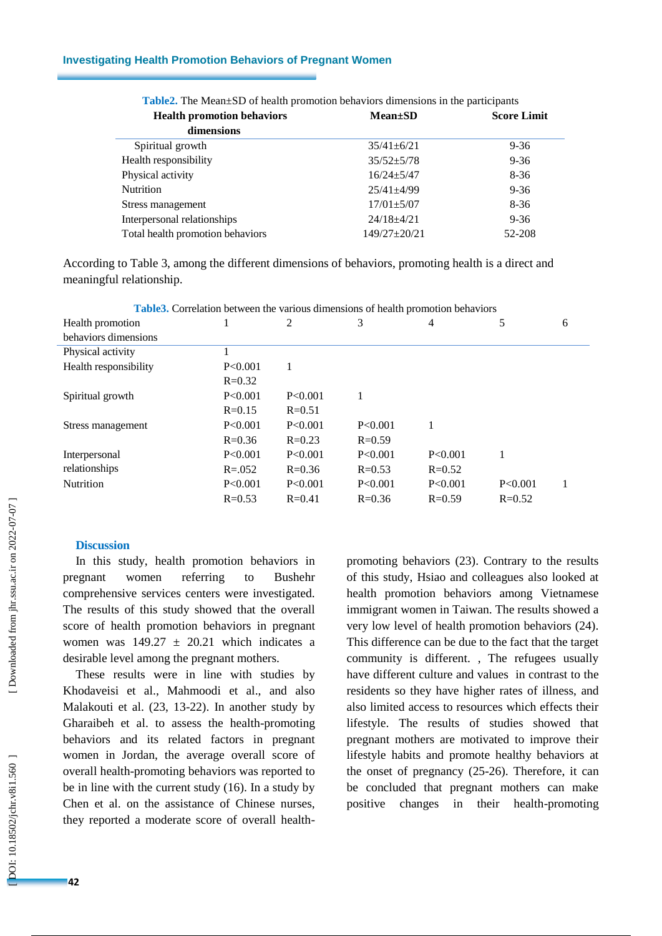### **Investigating Health Promotion Behaviors of Pregnant Women**

| <b>Health promotion behaviors</b> | $Mean \pm SD$      | <b>Score Limit</b> |
|-----------------------------------|--------------------|--------------------|
| dimensions                        |                    |                    |
| Spiritual growth                  | $35/41 \pm 6/21$   | $9 - 36$           |
| Health responsibility             | $35/52 + 5/78$     | $9 - 36$           |
| Physical activity                 | $16/24 + 5/47$     | $8-36$             |
| <b>Nutrition</b>                  | $25/41 + 4/99$     | $9 - 36$           |
| Stress management                 | $17/01 \pm 5/07$   | $8-36$             |
| Interpersonal relationships       | $24/18 + 4/21$     | $9 - 36$           |
| Total health promotion behaviors  | $149/27 \pm 20/21$ | 52-208             |

| <b>Table2.</b> The Mean±SD of health promotion behaviors dimensions in the participants |  |  |  |  |
|-----------------------------------------------------------------------------------------|--|--|--|--|
|-----------------------------------------------------------------------------------------|--|--|--|--|

According to Table 3, among the different dimensions of behaviors, promoting health is a direct and meaningful relationship.

|                       |             |            | <b>THOROGE COLLUMITY OCCHOOL THE VALIONS CHIREHOLIS OF HUMAN PLOTHOLISH OCHAVIOLS</b> |            |            |   |
|-----------------------|-------------|------------|---------------------------------------------------------------------------------------|------------|------------|---|
| Health promotion      |             | 2          | 3                                                                                     | 4          | 5          | 6 |
| behaviors dimensions  |             |            |                                                                                       |            |            |   |
| Physical activity     |             |            |                                                                                       |            |            |   |
| Health responsibility | P<0.001     |            |                                                                                       |            |            |   |
|                       | $R = 0.32$  |            |                                                                                       |            |            |   |
| Spiritual growth      | P<0.001     | P < 0.001  |                                                                                       |            |            |   |
|                       | $R = 0.15$  | $R = 0.51$ |                                                                                       |            |            |   |
| Stress management     | P<0.001     | P < 0.001  | P < 0.001                                                                             |            |            |   |
|                       | $R = 0.36$  | $R = 0.23$ | $R = 0.59$                                                                            |            |            |   |
| Interpersonal         | P<0.001     | P<0.001    | P<0.001                                                                               | P<0.001    |            |   |
| relationships         | $R = 0.052$ | $R = 0.36$ | $R = 0.53$                                                                            | $R = 0.52$ |            |   |
| Nutrition             | P<0.001     | P<0.001    | P<0.001                                                                               | P<0.001    | P<0.001    |   |
|                       | $R = 0.53$  | $R = 0.41$ | $R = 0.36$                                                                            | $R = 0.59$ | $R = 0.52$ |   |

**Table3.** Correlation between the various dimensions of health promotion behaviors

# **Discussion**

In this study, health promotion behaviors in pregnant women referring to Bushehr comprehensive services centers were investigated. The results of this study showed that the overall score of health promotion behaviors in pregnant women was  $149.27 \pm 20.21$  which indicates a desirable level among the pregnant mothers.

These results were in line with studies by Khodaveisi et al., Mahmoodi et al., and also Malakouti et al. (23, 13 -22). In another study by Gharaibeh et al. to assess the health -promoting behaviors and its related factors in pregnant women in Jordan, the average overall score of overall health -promoting behaviors was reported to be in line with the current study (16). In a study by Chen et al. on the assistance of Chinese nurses, they reported a moderate score of overall health -

promoting behaviors (23). Contrary to the results of this study, Hsiao and colleagues also looked at health promotion behaviors among Vietnamese immigrant women in Taiwan. The results showed a very low level of health promotion behaviors (24). This difference can be due to the fact that the target community is different. , The refugees usually have different culture and values in contrast to the residents so they have higher rates of illness, and also limited access to resources which effects their lifestyle. The results of studies showed that pregnant mothers are motivated to improve their lifestyle habits and promote healthy behaviors at the onset of pregnancy (25 -26). Therefore, it can be concluded that pregnant mothers can make positive changes in their health-promoting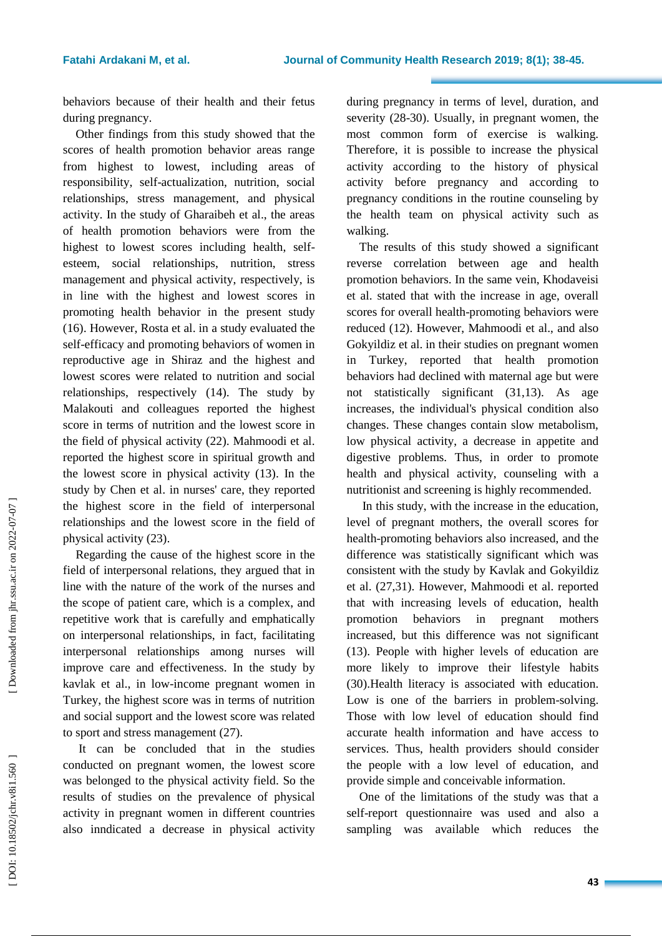behaviors because of their health and their fetus during pregnancy.

Other findings from this study showed that the scores of health promotion behavior areas range from highest to lowest, including areas of responsibility, self-actualization, nutrition, social relationships, stress management, and physical activity. In the study of Gharaibeh et al., the areas of health promotion behaviors were from the highest to lowest scores including health, self esteem, social relationships, nutrition, stress management and physical activity, respectively, is in line with the highest and lowest scores in promoting health behavior in the present study (16). However, Rosta et al. in a study evaluated the self-efficacy and promoting behaviors of women in reproductive age in Shiraz and the highest and lowest scores were related to nutrition and social relationships, respectively (14). The study by Malakouti and colleagues reported the highest score in terms of nutrition and the lowest score in the field of physical activity (22). Mahmoodi et al. reported the highest score in spiritual growth and the lowest score in physical activity (13). In the study by Chen et al. in nurses' care, they reported the highest score in the field of interpersonal relationships and the lowest score in the field of physical activity (23).

Regarding the cause of the highest score in the field of interpersonal relations, they argued that in line with the nature of the work of the nurses and the scope of patient care, which is a complex, and repetitive work that is carefully and emphatically on interpersonal relationships, in fact, facilitating interpersonal relationships among nurses will improve care and effectiveness. In the study by kavlak et al., in low -income pregnant women in Turkey, the highest score was in terms of nutrition and social support and the lowest score was related to sport and stress management (27).

It can be concluded that in the studies conducted on pregnant women, the lowest score was belonged to the physical activity field. So the results of studies on the prevalence of physical activity in pregnant women in different countries also inndicated a decrease in physical activity during pregnancy in terms of level, duration, and severity (28 -30). Usually, in pregnant women, the most common form of exercise is walking. Therefore, it is possible to increase the physical activity according to the history of physical activity before pregnancy and according to pregnancy conditions in the routine counseling by the health team on physical activity such as walking.

The results of this study showed a significant reverse correlation between age and health promotion behaviors. In the same vein, Khodaveisi et al. stated that with the increase in age, overall scores for overall health -promoting behaviors were reduced (12). However, Mahmoodi et al., and also Gokyildiz et al. in their studies on pregnant women in Turkey, reported that health promotion behaviors had declined with maternal age but were not statistically significant (31,13). As age increases, the individual's physical condition also changes. These changes contain slow metabolism, low physical activity, a decrease in appetite and digestive problems. Thus, in order to promote health and physical activity, counseling with a nutritionist and screening is highly recommended.

In this study, with the increase in the education, level of pregnant mothers, the overall scores for health -promoting behaviors also increased, and the difference was statistically significant which was consistent with the study by Kavlak and Gokyildiz et al. (27,31). However, Mahmoodi et al. reported that with increasing levels of education, health promotion behaviors in pregnant mothers increased, but this difference was not significant (13). People with higher levels of education are more likely to improve their lifestyle habits (30).Health literacy is associated with education. Low is one of the barriers in problem-solving. Those with low level of education should find accurate health information and have access to services. Thus, health providers should consider the people with a low level of education, and provide simple and conceivable information.

One of the limitations of the study was that a self-report questionnaire was used and also a sampling was available which reduces the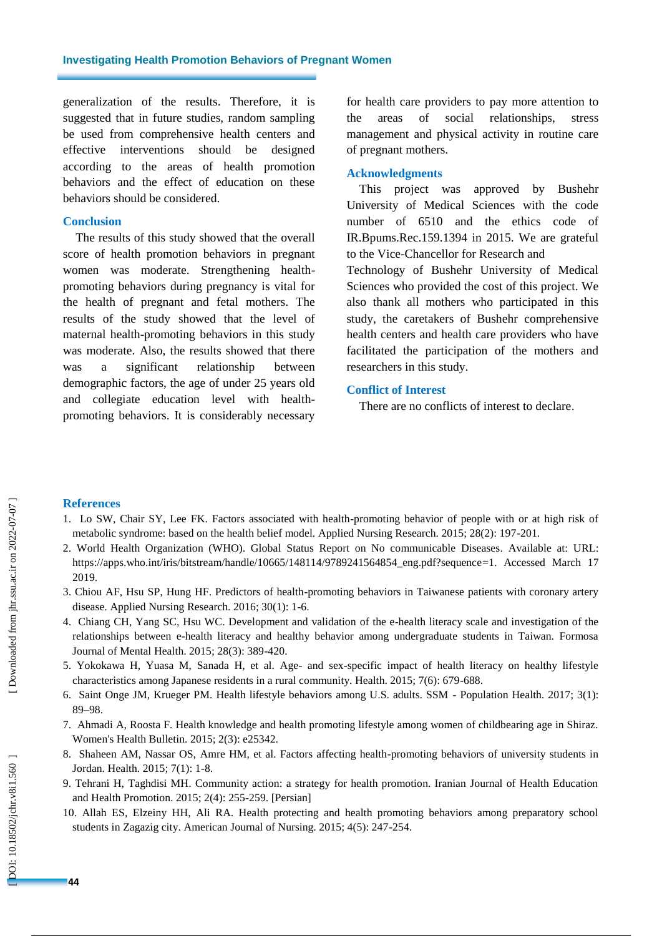generalization of the results. Therefore, it is suggested that in future studies, random sampling be used from comprehensive health centers and effective interventions should be designed according to the areas of health promotion behaviors and the effect of education on these behaviors should be considered.

### **Conclusion**

The results of this study showed that the overall score of health promotion behaviors in pregnant women was moderate. Strengthening health promoting behaviors during pregnancy is vital for the health of pregnant and fetal mothers. The results of the study showed that the level of maternal health -promoting behaviors in this study was moderate. Also, the results showed that there was a significant relationship between demographic factors, the age of under 25 years old and collegiate education level with healthpromoting behaviors. It is considerably necessary

for health care providers to pay more attention to the areas of social relationships, stress management and physical activity in routine care of pregnant mothers.

#### **Acknowledgments**

This project was approved by Bushehr University of Medical Sciences with the code number of 6510 and the ethics code of IR.Bpums.Rec.159.1394 in 2015. We are grateful to the Vice -Chancellor for Research and Technology of Bushehr University of Medical Sciences who provided the cost of this project. We also thank all mothers who participated in this study, the caretakers of Bushehr comprehensive health centers and health care providers who have facilitated the participation of the mothers and researchers in this study.

### **Conflict of Interest**

There are no conflicts of interest to declare .

## **References**

- 1. Lo SW, Chair SY, Lee FK. Factors associated with health -promoting behavior of people with or at high risk of metabolic syndrome: based on the health belief model. Applied Nursing Research. 2015; 28(2): 197 -201.
- 2. World Health Organization (WHO). Global Status Report on No communicable Diseases. Available at: URL: [https://apps.who.int/iris/bitstream/handle/10665/148114/9789241564854\\_eng.pdf?sequence=1](https://apps.who.int/iris/bitstream/handle/10665/148114/9789241564854_eng.pdf?sequence=1) . Accessed March 17 2019.
- 3. Chiou AF, Hsu SP, Hung HF. Predictors of health -promoting behaviors in Taiwanese patients with coronary artery disease. Applied Nursing Research. 2016; 30(1): 1 -6.
- 4. Chiang CH, Yang SC, Hsu WC. Development and validation of the e -health literacy scale and investigation of the relationships between e -health literacy and healthy behavior among undergraduate students in Taiwan. Formosa Journal of Mental Health. 2015; 28(3): 389 -420.
- 5. Yokokawa H, Yuasa M, Sanada H, et al. Age and sex -specific impact of health literacy on healthy lifestyle characteristics among Japanese residents in a rural community. Health. 2015; 7(6): 679 -688.
- 6. Saint Onge JM, Krueger PM. Health lifestyle behaviors among U.S. adults. SSM Population Health. 2017; 3(1): 89 –98.
- 7. Ahmadi A, Roosta F. Health knowledge and health promoting lifestyle among women of childbearing age in Shiraz. Women's Health Bulletin. 2015; 2(3): e25342.
- 8. Shaheen AM, Nassar OS, Amre HM, et al. Factors affecting health -promoting behaviors of university students in Jordan. Health. 2015; 7(1): 1 -8.
- 9. Tehrani H, Taghdisi MH. Community action: a strategy for health promotion. Iranian Journal of Health Education and Health Promotion. 2015; 2(4): 255 -259. [Persian]
- 10. Allah ES, Elzeiny HH, Ali RA. Health protecting and health promoting behaviors among preparatory school students in Zagazig city. American Journal of Nursing. 2015; 4(5): 247 -254.